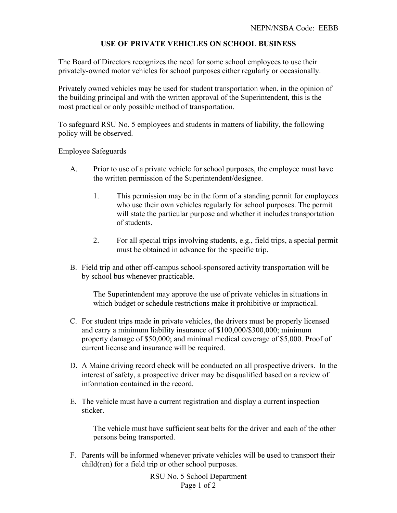# **USE OF PRIVATE VEHICLES ON SCHOOL BUSINESS**

The Board of Directors recognizes the need for some school employees to use their privately-owned motor vehicles for school purposes either regularly or occasionally.

Privately owned vehicles may be used for student transportation when, in the opinion of the building principal and with the written approval of the Superintendent, this is the most practical or only possible method of transportation.

To safeguard RSU No. 5 employees and students in matters of liability, the following policy will be observed.

### Employee Safeguards

- A. Prior to use of a private vehicle for school purposes, the employee must have the written permission of the Superintendent/designee.
	- 1. This permission may be in the form of a standing permit for employees who use their own vehicles regularly for school purposes. The permit will state the particular purpose and whether it includes transportation of students.
	- 2. For all special trips involving students, e.g., field trips, a special permit must be obtained in advance for the specific trip.
- B. Field trip and other off-campus school-sponsored activity transportation will be by school bus whenever practicable.

The Superintendent may approve the use of private vehicles in situations in which budget or schedule restrictions make it prohibitive or impractical.

- C. For student trips made in private vehicles, the drivers must be properly licensed and carry a minimum liability insurance of \$100,000/\$300,000; minimum property damage of \$50,000; and minimal medical coverage of \$5,000. Proof of current license and insurance will be required.
- D. A Maine driving record check will be conducted on all prospective drivers. In the interest of safety, a prospective driver may be disqualified based on a review of information contained in the record.
- E. The vehicle must have a current registration and display a current inspection sticker.

The vehicle must have sufficient seat belts for the driver and each of the other persons being transported.

F. Parents will be informed whenever private vehicles will be used to transport their child(ren) for a field trip or other school purposes.

> RSU No. 5 School Department Page 1 of 2